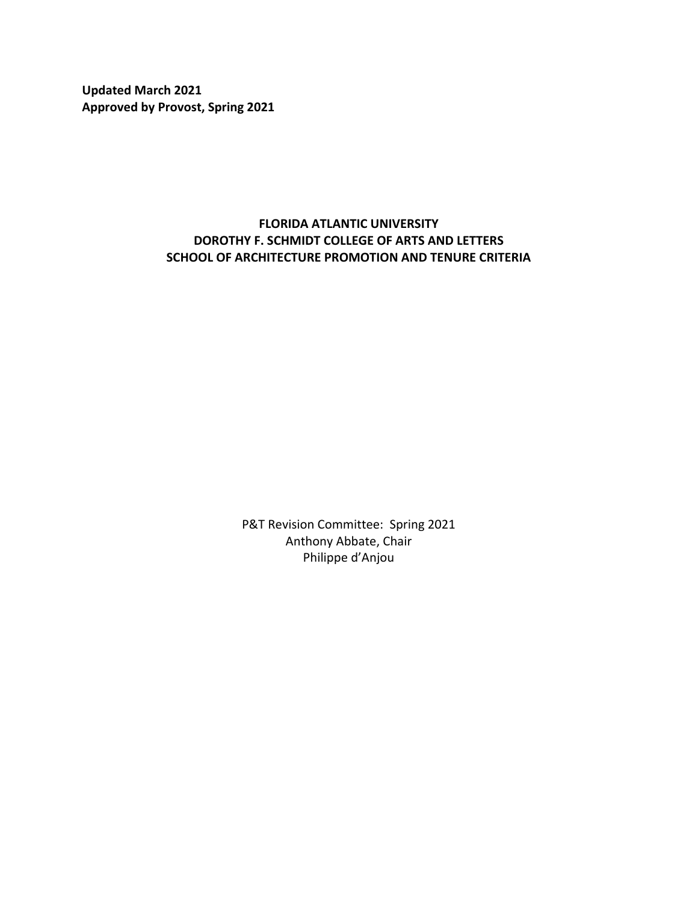**Updated March 2021 Approved by Provost, Spring 2021**

# **FLORIDA ATLANTIC UNIVERSITY DOROTHY F. SCHMIDT COLLEGE OF ARTS AND LETTERS SCHOOL OF ARCHITECTURE PROMOTION AND TENURE CRITERIA**

P&T Revision Committee: Spring 2021 Anthony Abbate, Chair Philippe d'Anjou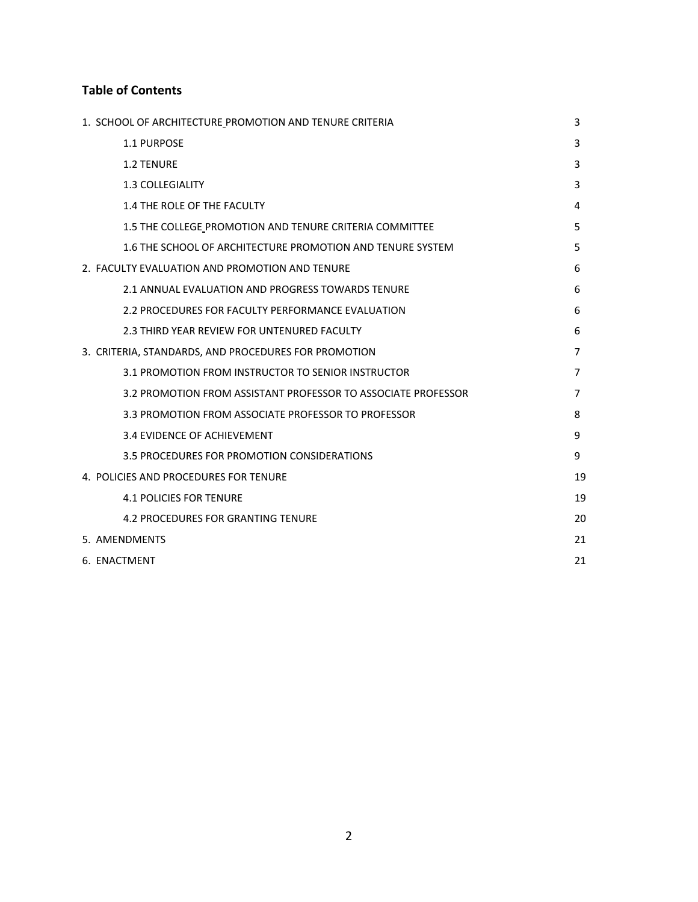# **Table of Contents**

| 1. SCHOOL OF ARCHITECTURE PROMOTION AND TENURE CRITERIA       | 3  |
|---------------------------------------------------------------|----|
| 1.1 PURPOSE                                                   | 3  |
| <b>1.2 TENURE</b>                                             | 3  |
| <b>1.3 COLLEGIALITY</b>                                       | 3  |
| 1.4 THE ROLE OF THE FACULTY                                   | 4  |
| 1.5 THE COLLEGE PROMOTION AND TENURE CRITERIA COMMITTEE       | 5  |
| 1.6 THE SCHOOL OF ARCHITECTURE PROMOTION AND TENURE SYSTEM    | 5  |
| 2. FACULTY EVALUATION AND PROMOTION AND TENURE                | 6  |
| 2.1 ANNUAL EVALUATION AND PROGRESS TOWARDS TENURE             | 6  |
| 2.2 PROCEDURES FOR FACULTY PERFORMANCE EVALUATION             | 6  |
| 2.3 THIRD YEAR REVIEW FOR UNTENURED FACULTY                   | 6  |
| 3. CRITERIA, STANDARDS, AND PROCEDURES FOR PROMOTION          | 7  |
| 3.1 PROMOTION FROM INSTRUCTOR TO SENIOR INSTRUCTOR            | 7  |
| 3.2 PROMOTION FROM ASSISTANT PROFESSOR TO ASSOCIATE PROFESSOR | 7  |
| 3.3 PROMOTION FROM ASSOCIATE PROFESSOR TO PROFESSOR           | 8  |
| 3.4 EVIDENCE OF ACHIEVEMENT                                   | 9  |
| 3.5 PROCEDURES FOR PROMOTION CONSIDERATIONS                   | 9  |
| 4. POLICIES AND PROCEDURES FOR TENURE                         | 19 |
| <b>4.1 POLICIES FOR TENURE</b>                                | 19 |
| <b>4.2 PROCEDURES FOR GRANTING TENURE</b>                     | 20 |
| 5. AMENDMENTS                                                 | 21 |
| 6. ENACTMENT                                                  | 21 |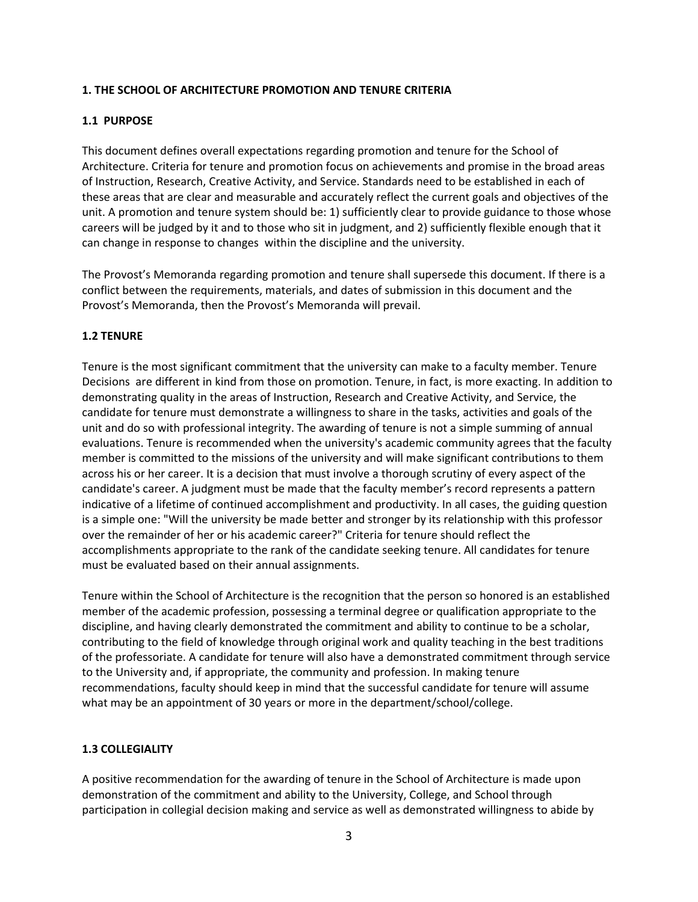### **1. THE SCHOOL OF ARCHITECTURE PROMOTION AND TENURE CRITERIA**

# **1.1 PURPOSE**

This document defines overall expectations regarding promotion and tenure for the School of Architecture. Criteria for tenure and promotion focus on achievements and promise in the broad areas of Instruction, Research, Creative Activity, and Service. Standards need to be established in each of these areas that are clear and measurable and accurately reflect the current goals and objectives of the unit. A promotion and tenure system should be: 1) sufficiently clear to provide guidance to those whose careers will be judged by it and to those who sit in judgment, and 2) sufficiently flexible enough that it can change in response to changes within the discipline and the university.

The Provost's Memoranda regarding promotion and tenure shall supersede this document. If there is a conflict between the requirements, materials, and dates of submission in this document and the Provost's Memoranda, then the Provost's Memoranda will prevail.

#### **1.2 TENURE**

Tenure is the most significant commitment that the university can make to a faculty member. Tenure Decisions are different in kind from those on promotion. Tenure, in fact, is more exacting. In addition to demonstrating quality in the areas of Instruction, Research and Creative Activity, and Service, the candidate for tenure must demonstrate a willingness to share in the tasks, activities and goals of the unit and do so with professional integrity. The awarding of tenure is not a simple summing of annual evaluations. Tenure is recommended when the university's academic community agrees that the faculty member is committed to the missions of the university and will make significant contributions to them across his or her career. It is a decision that must involve a thorough scrutiny of every aspect of the candidate's career. A judgment must be made that the faculty member's record represents a pattern indicative of a lifetime of continued accomplishment and productivity. In all cases, the guiding question is a simple one: "Will the university be made better and stronger by its relationship with this professor over the remainder of her or his academic career?" Criteria for tenure should reflect the accomplishments appropriate to the rank of the candidate seeking tenure. All candidates for tenure must be evaluated based on their annual assignments.

Tenure within the School of Architecture is the recognition that the person so honored is an established member of the academic profession, possessing a terminal degree or qualification appropriate to the discipline, and having clearly demonstrated the commitment and ability to continue to be a scholar, contributing to the field of knowledge through original work and quality teaching in the best traditions of the professoriate. A candidate for tenure will also have a demonstrated commitment through service to the University and, if appropriate, the community and profession. In making tenure recommendations, faculty should keep in mind that the successful candidate for tenure will assume what may be an appointment of 30 years or more in the department/school/college.

#### **1.3 COLLEGIALITY**

A positive recommendation for the awarding of tenure in the School of Architecture is made upon demonstration of the commitment and ability to the University, College, and School through participation in collegial decision making and service as well as demonstrated willingness to abide by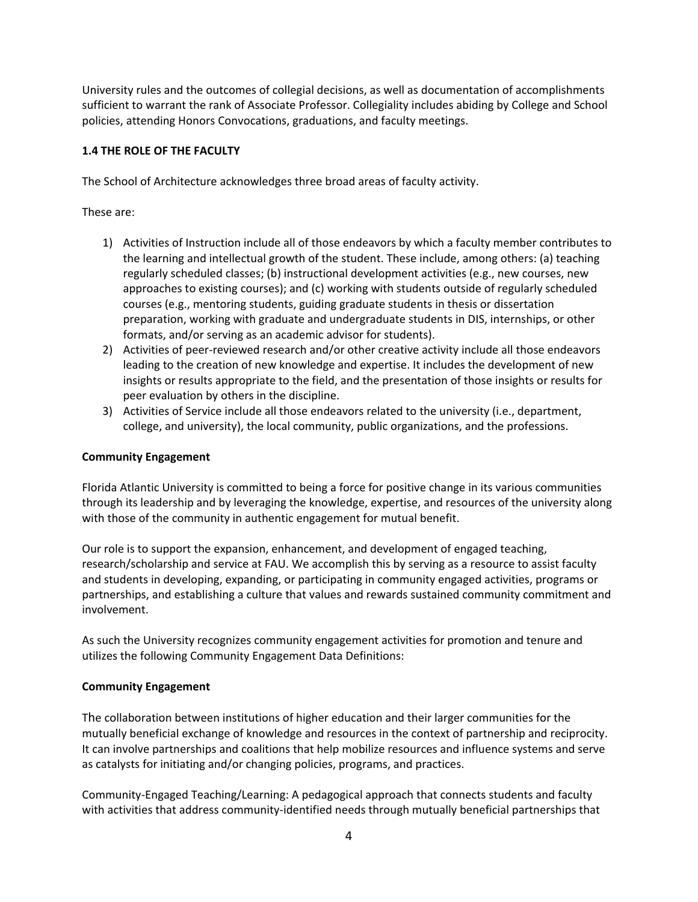University rules and the outcomes of collegial decisions, as well as documentation of accomplishments sufficient to warrant the rank of Associate Professor. Collegiality includes abiding by College and School policies, attending Honors Convocations, graduations, and faculty meetings.

# **1.4 THE ROLE OF THE FACULTY**

The School of Architecture acknowledges three broad areas of faculty activity.

These are:

- 1) Activities of Instruction include all of those endeavors by which a faculty member contributes to the learning and intellectual growth of the student. These include, among others: (a) teaching regularly scheduled classes; (b) instructional development activities (e.g., new courses, new approaches to existing courses); and (c) working with students outside of regularly scheduled courses (e.g., mentoring students, guiding graduate students in thesis or dissertation preparation, working with graduate and undergraduate students in DIS, internships, or other formats, and/or serving as an academic advisor for students).
- 2) Activities of peer-reviewed research and/or other creative activity include all those endeavors leading to the creation of new knowledge and expertise. It includes the development of new insights or results appropriate to the field, and the presentation of those insights or results for peer evaluation by others in the discipline.
- 3) Activities of Service include all those endeavors related to the university (i.e., department, college, and university), the local community, public organizations, and the professions.

#### **Community Engagement**

Florida Atlantic University is committed to being a force for positive change in its various communities through its leadership and by leveraging the knowledge, expertise, and resources of the university along with those of the community in authentic engagement for mutual benefit.

Our role is to support the expansion, enhancement, and development of engaged teaching, research/scholarship and service at FAU. We accomplish this by serving as a resource to assist faculty and students in developing, expanding, or participating in community engaged activities, programs or partnerships, and establishing a culture that values and rewards sustained community commitment and involvement.

As such the University recognizes community engagement activities for promotion and tenure and utilizes the following Community Engagement Data Definitions:

#### **Community Engagement**

The collaboration between institutions of higher education and their larger communities for the mutually beneficial exchange of knowledge and resources in the context of partnership and reciprocity. It can involve partnerships and coalitions that help mobilize resources and influence systems and serve as catalysts for initiating and/or changing policies, programs, and practices.

Community-Engaged Teaching/Learning: A pedagogical approach that connects students and faculty with activities that address community-identified needs through mutually beneficial partnerships that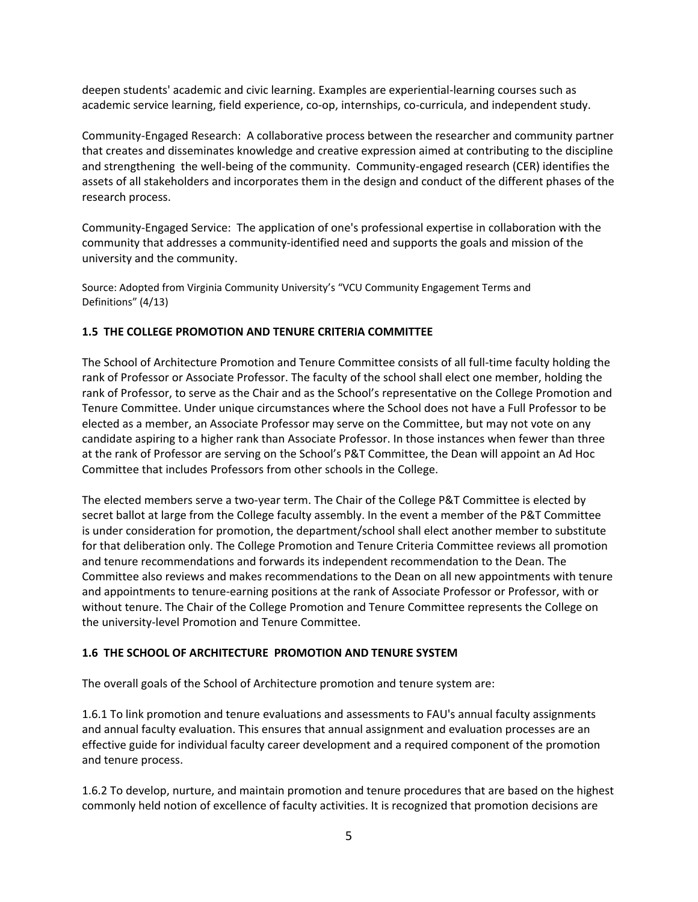deepen students' academic and civic learning. Examples are experiential-learning courses such as academic service learning, field experience, co-op, internships, co-curricula, and independent study.

Community-Engaged Research: A collaborative process between the researcher and community partner that creates and disseminates knowledge and creative expression aimed at contributing to the discipline and strengthening the well-being of the community. Community-engaged research (CER) identifies the assets of all stakeholders and incorporates them in the design and conduct of the different phases of the research process.

Community-Engaged Service: The application of one's professional expertise in collaboration with the community that addresses a community-identified need and supports the goals and mission of the university and the community.

Source: Adopted from Virginia Community University's "VCU Community Engagement Terms and Definitions" (4/13)

# **1.5 THE COLLEGE PROMOTION AND TENURE CRITERIA COMMITTEE**

The School of Architecture Promotion and Tenure Committee consists of all full-time faculty holding the rank of Professor or Associate Professor. The faculty of the school shall elect one member, holding the rank of Professor, to serve as the Chair and as the School's representative on the College Promotion and Tenure Committee. Under unique circumstances where the School does not have a Full Professor to be elected as a member, an Associate Professor may serve on the Committee, but may not vote on any candidate aspiring to a higher rank than Associate Professor. In those instances when fewer than three at the rank of Professor are serving on the School's P&T Committee, the Dean will appoint an Ad Hoc Committee that includes Professors from other schools in the College.

The elected members serve a two-year term. The Chair of the College P&T Committee is elected by secret ballot at large from the College faculty assembly. In the event a member of the P&T Committee is under consideration for promotion, the department/school shall elect another member to substitute for that deliberation only. The College Promotion and Tenure Criteria Committee reviews all promotion and tenure recommendations and forwards its independent recommendation to the Dean. The Committee also reviews and makes recommendations to the Dean on all new appointments with tenure and appointments to tenure-earning positions at the rank of Associate Professor or Professor, with or without tenure. The Chair of the College Promotion and Tenure Committee represents the College on the university-level Promotion and Tenure Committee.

#### **1.6 THE SCHOOL OF ARCHITECTURE PROMOTION AND TENURE SYSTEM**

The overall goals of the School of Architecture promotion and tenure system are:

1.6.1 To link promotion and tenure evaluations and assessments to FAU's annual faculty assignments and annual faculty evaluation. This ensures that annual assignment and evaluation processes are an effective guide for individual faculty career development and a required component of the promotion and tenure process.

1.6.2 To develop, nurture, and maintain promotion and tenure procedures that are based on the highest commonly held notion of excellence of faculty activities. It is recognized that promotion decisions are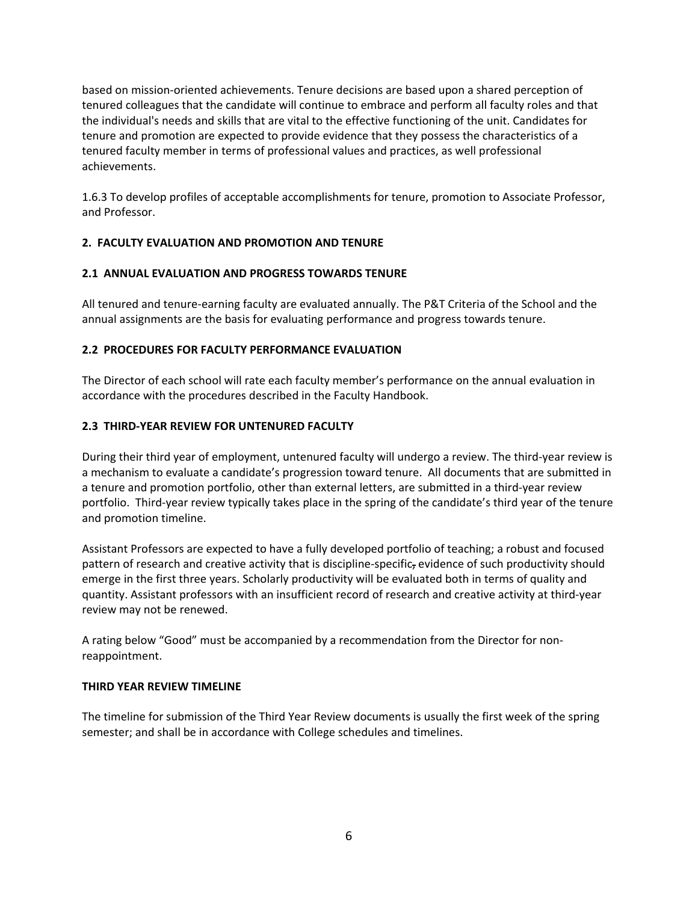based on mission-oriented achievements. Tenure decisions are based upon a shared perception of tenured colleagues that the candidate will continue to embrace and perform all faculty roles and that the individual's needs and skills that are vital to the effective functioning of the unit. Candidates for tenure and promotion are expected to provide evidence that they possess the characteristics of a tenured faculty member in terms of professional values and practices, as well professional achievements.

1.6.3 To develop profiles of acceptable accomplishments for tenure, promotion to Associate Professor, and Professor.

# **2. FACULTY EVALUATION AND PROMOTION AND TENURE**

#### **2.1 ANNUAL EVALUATION AND PROGRESS TOWARDS TENURE**

All tenured and tenure-earning faculty are evaluated annually. The P&T Criteria of the School and the annual assignments are the basis for evaluating performance and progress towards tenure.

# **2.2 PROCEDURES FOR FACULTY PERFORMANCE EVALUATION**

The Director of each school will rate each faculty member's performance on the annual evaluation in accordance with the procedures described in the Faculty Handbook.

# **2.3 THIRD-YEAR REVIEW FOR UNTENURED FACULTY**

During their third year of employment, untenured faculty will undergo a review. The third-year review is a mechanism to evaluate a candidate's progression toward tenure. All documents that are submitted in a tenure and promotion portfolio, other than external letters, are submitted in a third-year review portfolio. Third-year review typically takes place in the spring of the candidate's third year of the tenure and promotion timeline.

Assistant Professors are expected to have a fully developed portfolio of teaching; a robust and focused pattern of research and creative activity that is discipline-specific, evidence of such productivity should emerge in the first three years. Scholarly productivity will be evaluated both in terms of quality and quantity. Assistant professors with an insufficient record of research and creative activity at third-year review may not be renewed.

A rating below "Good" must be accompanied by a recommendation from the Director for nonreappointment.

#### **THIRD YEAR REVIEW TIMELINE**

The timeline for submission of the Third Year Review documents is usually the first week of the spring semester; and shall be in accordance with College schedules and timelines.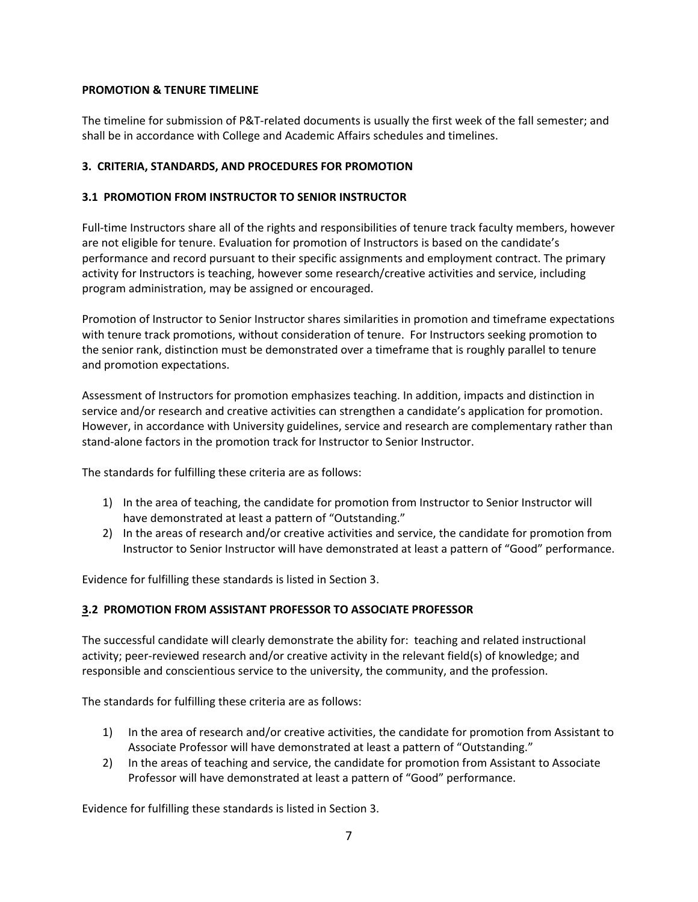### **PROMOTION & TENURE TIMELINE**

The timeline for submission of P&T-related documents is usually the first week of the fall semester; and shall be in accordance with College and Academic Affairs schedules and timelines.

# **3. CRITERIA, STANDARDS, AND PROCEDURES FOR PROMOTION**

# **3.1 PROMOTION FROM INSTRUCTOR TO SENIOR INSTRUCTOR**

Full-time Instructors share all of the rights and responsibilities of tenure track faculty members, however are not eligible for tenure. Evaluation for promotion of Instructors is based on the candidate's performance and record pursuant to their specific assignments and employment contract. The primary activity for Instructors is teaching, however some research/creative activities and service, including program administration, may be assigned or encouraged.

Promotion of Instructor to Senior Instructor shares similarities in promotion and timeframe expectations with tenure track promotions, without consideration of tenure. For Instructors seeking promotion to the senior rank, distinction must be demonstrated over a timeframe that is roughly parallel to tenure and promotion expectations.

Assessment of Instructors for promotion emphasizes teaching. In addition, impacts and distinction in service and/or research and creative activities can strengthen a candidate's application for promotion. However, in accordance with University guidelines, service and research are complementary rather than stand-alone factors in the promotion track for Instructor to Senior Instructor.

The standards for fulfilling these criteria are as follows:

- 1) In the area of teaching, the candidate for promotion from Instructor to Senior Instructor will have demonstrated at least a pattern of "Outstanding."
- 2) In the areas of research and/or creative activities and service, the candidate for promotion from Instructor to Senior Instructor will have demonstrated at least a pattern of "Good" performance.

Evidence for fulfilling these standards is listed in Section 3.

# **3.2 PROMOTION FROM ASSISTANT PROFESSOR TO ASSOCIATE PROFESSOR**

The successful candidate will clearly demonstrate the ability for: teaching and related instructional activity; peer-reviewed research and/or creative activity in the relevant field(s) of knowledge; and responsible and conscientious service to the university, the community, and the profession.

The standards for fulfilling these criteria are as follows:

- 1) In the area of research and/or creative activities, the candidate for promotion from Assistant to Associate Professor will have demonstrated at least a pattern of "Outstanding."
- 2) In the areas of teaching and service, the candidate for promotion from Assistant to Associate Professor will have demonstrated at least a pattern of "Good" performance.

Evidence for fulfilling these standards is listed in Section 3.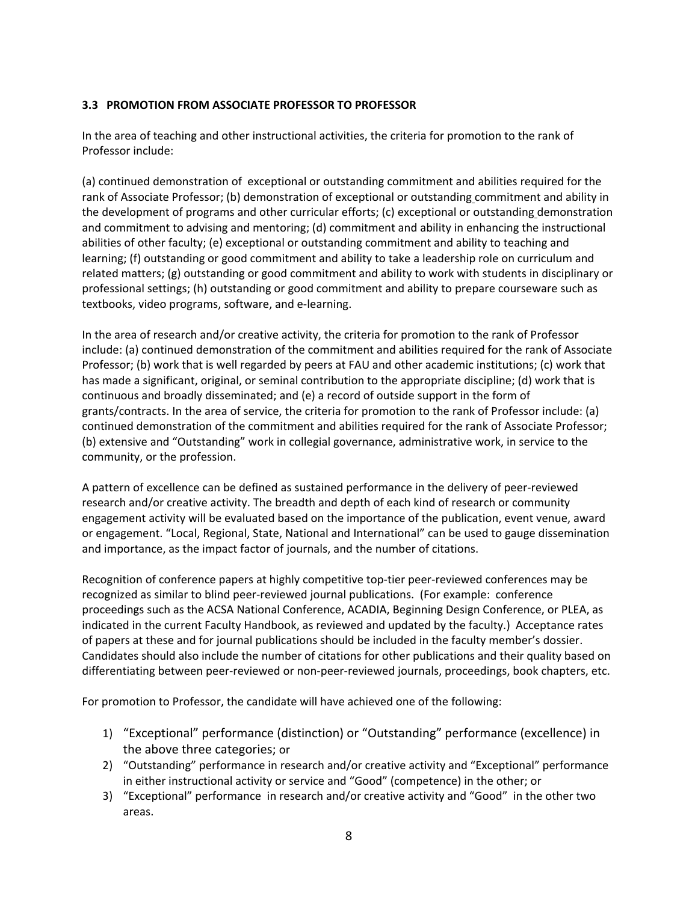# **3.3 PROMOTION FROM ASSOCIATE PROFESSOR TO PROFESSOR**

In the area of teaching and other instructional activities, the criteria for promotion to the rank of Professor include:

(a) continued demonstration of exceptional or outstanding commitment and abilities required for the rank of Associate Professor; (b) demonstration of exceptional or outstanding commitment and ability in the development of programs and other curricular efforts; (c) exceptional or outstanding demonstration and commitment to advising and mentoring; (d) commitment and ability in enhancing the instructional abilities of other faculty; (e) exceptional or outstanding commitment and ability to teaching and learning; (f) outstanding or good commitment and ability to take a leadership role on curriculum and related matters; (g) outstanding or good commitment and ability to work with students in disciplinary or professional settings; (h) outstanding or good commitment and ability to prepare courseware such as textbooks, video programs, software, and e-learning.

In the area of research and/or creative activity, the criteria for promotion to the rank of Professor include: (a) continued demonstration of the commitment and abilities required for the rank of Associate Professor; (b) work that is well regarded by peers at FAU and other academic institutions; (c) work that has made a significant, original, or seminal contribution to the appropriate discipline; (d) work that is continuous and broadly disseminated; and (e) a record of outside support in the form of grants/contracts. In the area of service, the criteria for promotion to the rank of Professor include: (a) continued demonstration of the commitment and abilities required for the rank of Associate Professor; (b) extensive and "Outstanding" work in collegial governance, administrative work, in service to the community, or the profession.

A pattern of excellence can be defined as sustained performance in the delivery of peer-reviewed research and/or creative activity. The breadth and depth of each kind of research or community engagement activity will be evaluated based on the importance of the publication, event venue, award or engagement. "Local, Regional, State, National and International" can be used to gauge dissemination and importance, as the impact factor of journals, and the number of citations.

Recognition of conference papers at highly competitive top-tier peer-reviewed conferences may be recognized as similar to blind peer-reviewed journal publications. (For example: conference proceedings such as the ACSA National Conference, ACADIA, Beginning Design Conference, or PLEA, as indicated in the current Faculty Handbook, as reviewed and updated by the faculty.) Acceptance rates of papers at these and for journal publications should be included in the faculty member's dossier. Candidates should also include the number of citations for other publications and their quality based on differentiating between peer-reviewed or non-peer-reviewed journals, proceedings, book chapters, etc.

For promotion to Professor, the candidate will have achieved one of the following:

- 1) "Exceptional" performance (distinction) or "Outstanding" performance (excellence) in the above three categories; or
- 2) "Outstanding" performance in research and/or creative activity and "Exceptional" performance in either instructional activity or service and "Good" (competence) in the other; or
- 3) "Exceptional" performance in research and/or creative activity and "Good" in the other two areas.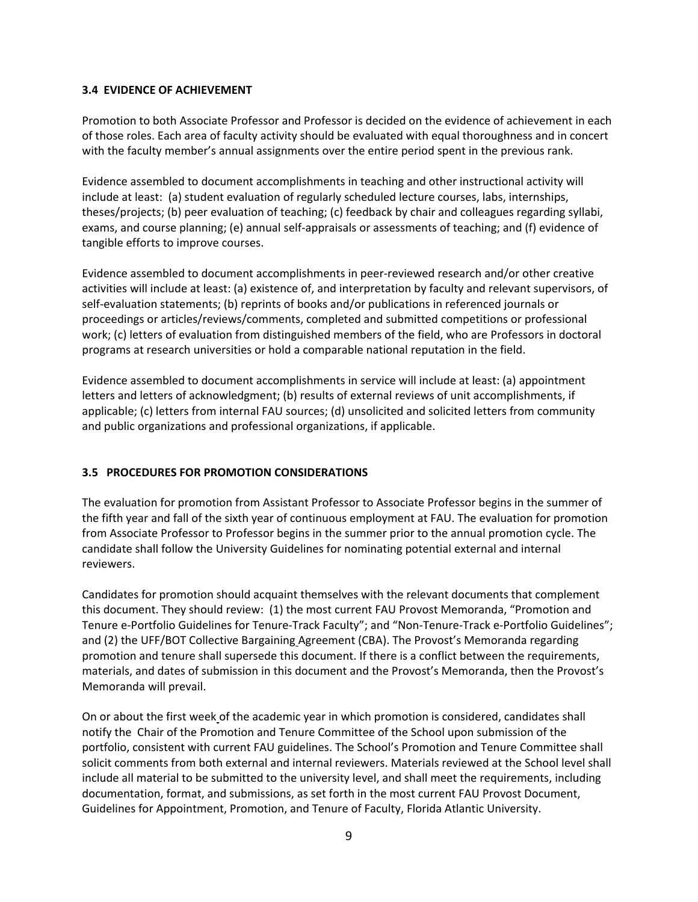### **3.4 EVIDENCE OF ACHIEVEMENT**

Promotion to both Associate Professor and Professor is decided on the evidence of achievement in each of those roles. Each area of faculty activity should be evaluated with equal thoroughness and in concert with the faculty member's annual assignments over the entire period spent in the previous rank.

Evidence assembled to document accomplishments in teaching and other instructional activity will include at least: (a) student evaluation of regularly scheduled lecture courses, labs, internships, theses/projects; (b) peer evaluation of teaching; (c) feedback by chair and colleagues regarding syllabi, exams, and course planning; (e) annual self-appraisals or assessments of teaching; and (f) evidence of tangible efforts to improve courses.

Evidence assembled to document accomplishments in peer-reviewed research and/or other creative activities will include at least: (a) existence of, and interpretation by faculty and relevant supervisors, of self-evaluation statements; (b) reprints of books and/or publications in referenced journals or proceedings or articles/reviews/comments, completed and submitted competitions or professional work; (c) letters of evaluation from distinguished members of the field, who are Professors in doctoral programs at research universities or hold a comparable national reputation in the field.

Evidence assembled to document accomplishments in service will include at least: (a) appointment letters and letters of acknowledgment; (b) results of external reviews of unit accomplishments, if applicable; (c) letters from internal FAU sources; (d) unsolicited and solicited letters from community and public organizations and professional organizations, if applicable.

# **3.5 PROCEDURES FOR PROMOTION CONSIDERATIONS**

The evaluation for promotion from Assistant Professor to Associate Professor begins in the summer of the fifth year and fall of the sixth year of continuous employment at FAU. The evaluation for promotion from Associate Professor to Professor begins in the summer prior to the annual promotion cycle. The candidate shall follow the University Guidelines for nominating potential external and internal reviewers.

Candidates for promotion should acquaint themselves with the relevant documents that complement this document. They should review: (1) the most current FAU Provost Memoranda, "Promotion and Tenure e-Portfolio Guidelines for Tenure-Track Faculty"; and "Non-Tenure-Track e-Portfolio Guidelines"; and (2) the UFF/BOT Collective Bargaining Agreement (CBA). The Provost's Memoranda regarding promotion and tenure shall supersede this document. If there is a conflict between the requirements, materials, and dates of submission in this document and the Provost's Memoranda, then the Provost's Memoranda will prevail.

On or about the first week of the academic year in which promotion is considered, candidates shall notify the Chair of the Promotion and Tenure Committee of the School upon submission of the portfolio, consistent with current FAU guidelines. The School's Promotion and Tenure Committee shall solicit comments from both external and internal reviewers. Materials reviewed at the School level shall include all material to be submitted to the university level, and shall meet the requirements, including documentation, format, and submissions, as set forth in the most current FAU Provost Document, Guidelines for Appointment, Promotion, and Tenure of Faculty, Florida Atlantic University.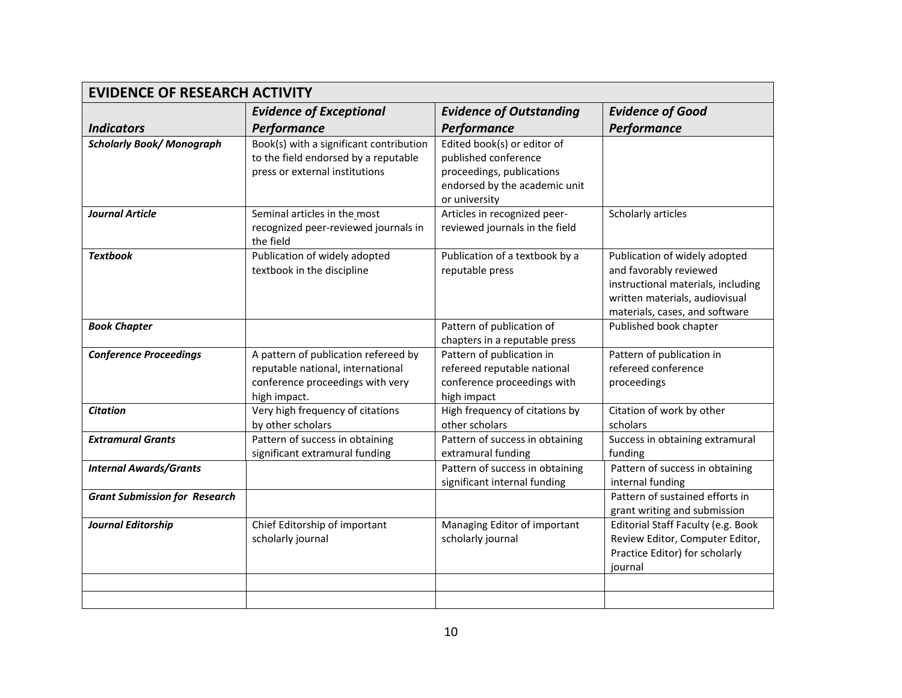| <b>EVIDENCE OF RESEARCH ACTIVITY</b> |                                                                                                                               |                                                                                                                                    |                                                                                                                                                                   |
|--------------------------------------|-------------------------------------------------------------------------------------------------------------------------------|------------------------------------------------------------------------------------------------------------------------------------|-------------------------------------------------------------------------------------------------------------------------------------------------------------------|
|                                      | <b>Evidence of Exceptional</b>                                                                                                | <b>Evidence of Outstanding</b>                                                                                                     | <b>Evidence of Good</b>                                                                                                                                           |
| <b>Indicators</b>                    | Performance                                                                                                                   | Performance                                                                                                                        | Performance                                                                                                                                                       |
| <b>Scholarly Book/Monograph</b>      | Book(s) with a significant contribution<br>to the field endorsed by a reputable<br>press or external institutions             | Edited book(s) or editor of<br>published conference<br>proceedings, publications<br>endorsed by the academic unit<br>or university |                                                                                                                                                                   |
| <b>Journal Article</b>               | Seminal articles in the_most<br>recognized peer-reviewed journals in<br>the field                                             | Articles in recognized peer-<br>reviewed journals in the field                                                                     | Scholarly articles                                                                                                                                                |
| <b>Textbook</b>                      | Publication of widely adopted<br>textbook in the discipline                                                                   | Publication of a textbook by a<br>reputable press                                                                                  | Publication of widely adopted<br>and favorably reviewed<br>instructional materials, including<br>written materials, audiovisual<br>materials, cases, and software |
| <b>Book Chapter</b>                  |                                                                                                                               | Pattern of publication of<br>chapters in a reputable press                                                                         | Published book chapter                                                                                                                                            |
| <b>Conference Proceedings</b>        | A pattern of publication refereed by<br>reputable national, international<br>conference proceedings with very<br>high impact. | Pattern of publication in<br>refereed reputable national<br>conference proceedings with<br>high impact                             | Pattern of publication in<br>refereed conference<br>proceedings                                                                                                   |
| <b>Citation</b>                      | Very high frequency of citations<br>by other scholars                                                                         | High frequency of citations by<br>other scholars                                                                                   | Citation of work by other<br>scholars                                                                                                                             |
| <b>Extramural Grants</b>             | Pattern of success in obtaining<br>significant extramural funding                                                             | Pattern of success in obtaining<br>extramural funding                                                                              | Success in obtaining extramural<br>funding                                                                                                                        |
| <b>Internal Awards/Grants</b>        |                                                                                                                               | Pattern of success in obtaining<br>significant internal funding                                                                    | Pattern of success in obtaining<br>internal funding                                                                                                               |
| <b>Grant Submission for Research</b> |                                                                                                                               |                                                                                                                                    | Pattern of sustained efforts in<br>grant writing and submission                                                                                                   |
| <b>Journal Editorship</b>            | Chief Editorship of important<br>scholarly journal                                                                            | Managing Editor of important<br>scholarly journal                                                                                  | Editorial Staff Faculty (e.g. Book<br>Review Editor, Computer Editor,<br>Practice Editor) for scholarly<br>journal                                                |
|                                      |                                                                                                                               |                                                                                                                                    |                                                                                                                                                                   |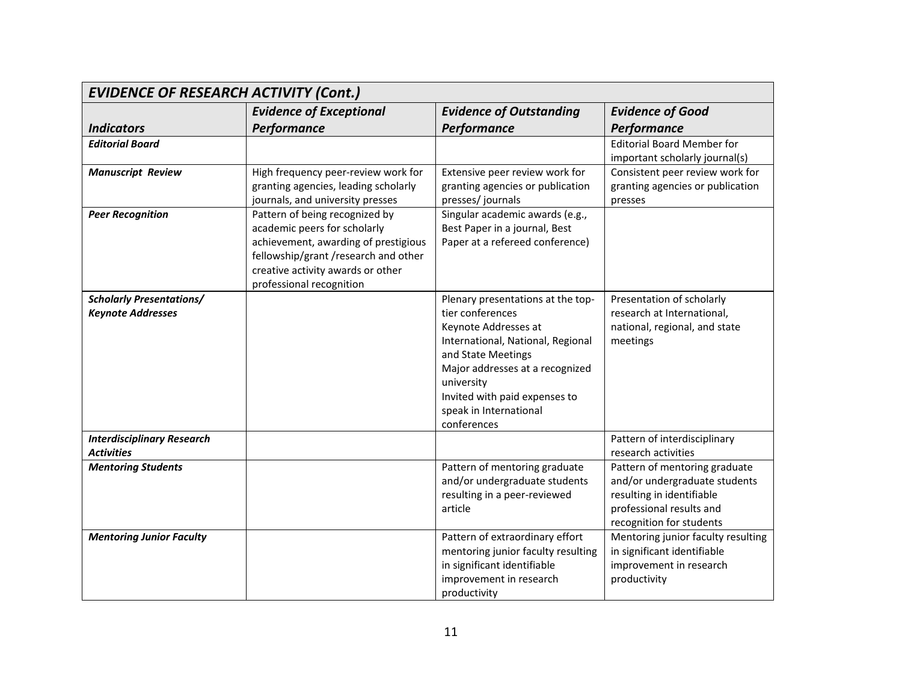| <b>EVIDENCE OF RESEARCH ACTIVITY (Cont.)</b>                |                                                                                                                                                                                                                 |                                                                                                                                                                                                                                                                     |                                                                                                                                                     |
|-------------------------------------------------------------|-----------------------------------------------------------------------------------------------------------------------------------------------------------------------------------------------------------------|---------------------------------------------------------------------------------------------------------------------------------------------------------------------------------------------------------------------------------------------------------------------|-----------------------------------------------------------------------------------------------------------------------------------------------------|
|                                                             | <b>Evidence of Exceptional</b>                                                                                                                                                                                  | <b>Evidence of Outstanding</b>                                                                                                                                                                                                                                      | <b>Evidence of Good</b>                                                                                                                             |
| <b>Indicators</b>                                           | Performance                                                                                                                                                                                                     | Performance                                                                                                                                                                                                                                                         | Performance                                                                                                                                         |
| <b>Editorial Board</b>                                      |                                                                                                                                                                                                                 |                                                                                                                                                                                                                                                                     | <b>Editorial Board Member for</b><br>important scholarly journal(s)                                                                                 |
| <b>Manuscript Review</b>                                    | High frequency peer-review work for<br>granting agencies, leading scholarly<br>journals, and university presses                                                                                                 | Extensive peer review work for<br>granting agencies or publication<br>presses/journals                                                                                                                                                                              | Consistent peer review work for<br>granting agencies or publication<br>presses                                                                      |
| <b>Peer Recognition</b>                                     | Pattern of being recognized by<br>academic peers for scholarly<br>achievement, awarding of prestigious<br>fellowship/grant /research and other<br>creative activity awards or other<br>professional recognition | Singular academic awards (e.g.,<br>Best Paper in a journal, Best<br>Paper at a refereed conference)                                                                                                                                                                 |                                                                                                                                                     |
| <b>Scholarly Presentations/</b><br><b>Keynote Addresses</b> |                                                                                                                                                                                                                 | Plenary presentations at the top-<br>tier conferences<br>Keynote Addresses at<br>International, National, Regional<br>and State Meetings<br>Major addresses at a recognized<br>university<br>Invited with paid expenses to<br>speak in International<br>conferences | Presentation of scholarly<br>research at International,<br>national, regional, and state<br>meetings                                                |
| <b>Interdisciplinary Research</b><br><b>Activities</b>      |                                                                                                                                                                                                                 |                                                                                                                                                                                                                                                                     | Pattern of interdisciplinary<br>research activities                                                                                                 |
| <b>Mentoring Students</b>                                   |                                                                                                                                                                                                                 | Pattern of mentoring graduate<br>and/or undergraduate students<br>resulting in a peer-reviewed<br>article                                                                                                                                                           | Pattern of mentoring graduate<br>and/or undergraduate students<br>resulting in identifiable<br>professional results and<br>recognition for students |
| <b>Mentoring Junior Faculty</b>                             |                                                                                                                                                                                                                 | Pattern of extraordinary effort<br>mentoring junior faculty resulting<br>in significant identifiable<br>improvement in research<br>productivity                                                                                                                     | Mentoring junior faculty resulting<br>in significant identifiable<br>improvement in research<br>productivity                                        |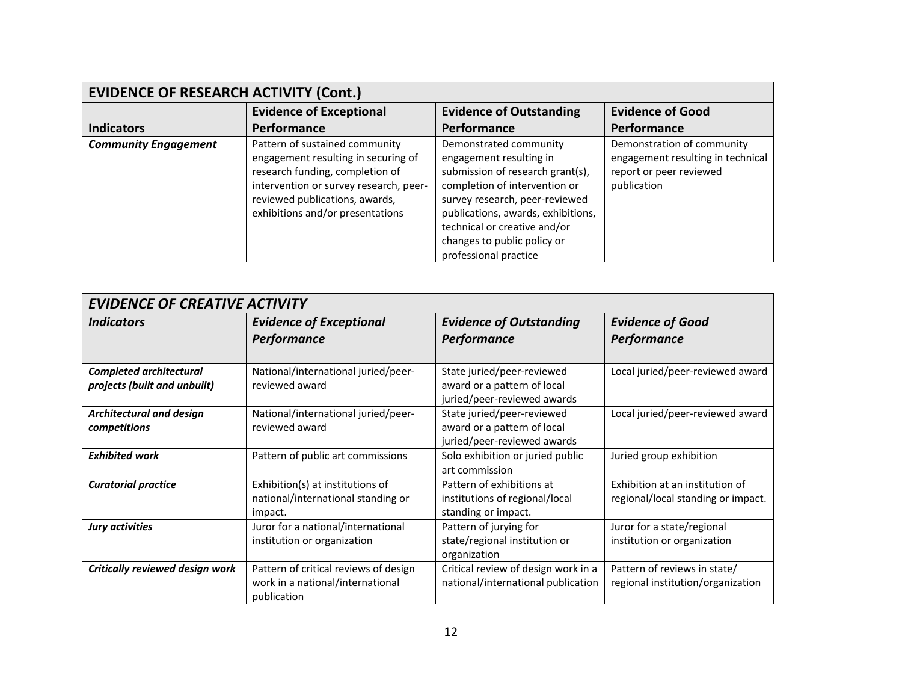| <b>EVIDENCE OF RESEARCH ACTIVITY (Cont.)</b> |                                                                                                                                                                                                                          |                                                                                                                                                                                                                                                                                        |                                                                                                           |
|----------------------------------------------|--------------------------------------------------------------------------------------------------------------------------------------------------------------------------------------------------------------------------|----------------------------------------------------------------------------------------------------------------------------------------------------------------------------------------------------------------------------------------------------------------------------------------|-----------------------------------------------------------------------------------------------------------|
|                                              | <b>Evidence of Exceptional</b>                                                                                                                                                                                           | <b>Evidence of Outstanding</b>                                                                                                                                                                                                                                                         | <b>Evidence of Good</b>                                                                                   |
| <b>Indicators</b>                            | Performance                                                                                                                                                                                                              | Performance                                                                                                                                                                                                                                                                            | Performance                                                                                               |
| <b>Community Engagement</b>                  | Pattern of sustained community<br>engagement resulting in securing of<br>research funding, completion of<br>intervention or survey research, peer-<br>reviewed publications, awards,<br>exhibitions and/or presentations | Demonstrated community<br>engagement resulting in<br>submission of research grant(s),<br>completion of intervention or<br>survey research, peer-reviewed<br>publications, awards, exhibitions,<br>technical or creative and/or<br>changes to public policy or<br>professional practice | Demonstration of community<br>engagement resulting in technical<br>report or peer reviewed<br>publication |

| <b>EVIDENCE OF CREATIVE ACTIVITY</b>                           |                                                                                          |                                                                                          |                                                                       |
|----------------------------------------------------------------|------------------------------------------------------------------------------------------|------------------------------------------------------------------------------------------|-----------------------------------------------------------------------|
| <b>Indicators</b>                                              | <b>Evidence of Exceptional</b><br>Performance                                            | <b>Evidence of Outstanding</b><br>Performance                                            | <b>Evidence of Good</b><br>Performance                                |
| <b>Completed architectural</b><br>projects (built and unbuilt) | National/international juried/peer-<br>reviewed award                                    | State juried/peer-reviewed<br>award or a pattern of local<br>juried/peer-reviewed awards | Local juried/peer-reviewed award                                      |
| Architectural and design<br>competitions                       | National/international juried/peer-<br>reviewed award                                    | State juried/peer-reviewed<br>award or a pattern of local<br>juried/peer-reviewed awards | Local juried/peer-reviewed award                                      |
| <b>Exhibited work</b>                                          | Pattern of public art commissions                                                        | Solo exhibition or juried public<br>art commission                                       | Juried group exhibition                                               |
| <b>Curatorial practice</b>                                     | Exhibition(s) at institutions of<br>national/international standing or<br>impact.        | Pattern of exhibitions at<br>institutions of regional/local<br>standing or impact.       | Exhibition at an institution of<br>regional/local standing or impact. |
| Jury activities                                                | Juror for a national/international<br>institution or organization                        | Pattern of jurying for<br>state/regional institution or<br>organization                  | Juror for a state/regional<br>institution or organization             |
| Critically reviewed design work                                | Pattern of critical reviews of design<br>work in a national/international<br>publication | Critical review of design work in a<br>national/international publication                | Pattern of reviews in state/<br>regional institution/organization     |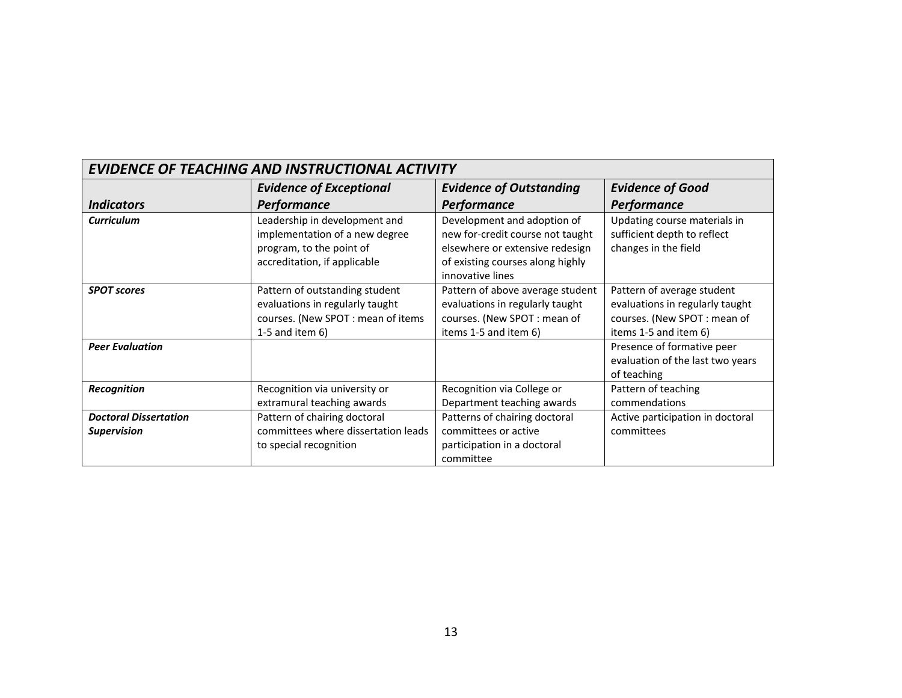| <b>EVIDENCE OF TEACHING AND INSTRUCTIONAL ACTIVITY</b> |                                                                                                                               |                                                                                                                                                            |                                                                                                                       |  |
|--------------------------------------------------------|-------------------------------------------------------------------------------------------------------------------------------|------------------------------------------------------------------------------------------------------------------------------------------------------------|-----------------------------------------------------------------------------------------------------------------------|--|
|                                                        | <b>Evidence of Exceptional</b>                                                                                                | <b>Evidence of Outstanding</b>                                                                                                                             | <b>Evidence of Good</b>                                                                                               |  |
| <i><u><b>Indicators</b></u></i>                        | <b>Performance</b>                                                                                                            | Performance                                                                                                                                                | Performance                                                                                                           |  |
| <b>Curriculum</b>                                      | Leadership in development and<br>implementation of a new degree<br>program, to the point of<br>accreditation, if applicable   | Development and adoption of<br>new for-credit course not taught<br>elsewhere or extensive redesign<br>of existing courses along highly<br>innovative lines | Updating course materials in<br>sufficient depth to reflect<br>changes in the field                                   |  |
| <b>SPOT scores</b>                                     | Pattern of outstanding student<br>evaluations in regularly taught<br>courses. (New SPOT : mean of items<br>1-5 and item $6$ ) | Pattern of above average student<br>evaluations in regularly taught<br>courses. (New SPOT: mean of<br>items 1-5 and item 6)                                | Pattern of average student<br>evaluations in regularly taught<br>courses. (New SPOT: mean of<br>items 1-5 and item 6) |  |
| <b>Peer Evaluation</b>                                 |                                                                                                                               |                                                                                                                                                            | Presence of formative peer<br>evaluation of the last two years<br>of teaching                                         |  |
| Recognition                                            | Recognition via university or<br>extramural teaching awards                                                                   | Recognition via College or<br>Department teaching awards                                                                                                   | Pattern of teaching<br>commendations                                                                                  |  |
| <b>Doctoral Dissertation</b><br><b>Supervision</b>     | Pattern of chairing doctoral<br>committees where dissertation leads<br>to special recognition                                 | Patterns of chairing doctoral<br>committees or active<br>participation in a doctoral<br>committee                                                          | Active participation in doctoral<br>committees                                                                        |  |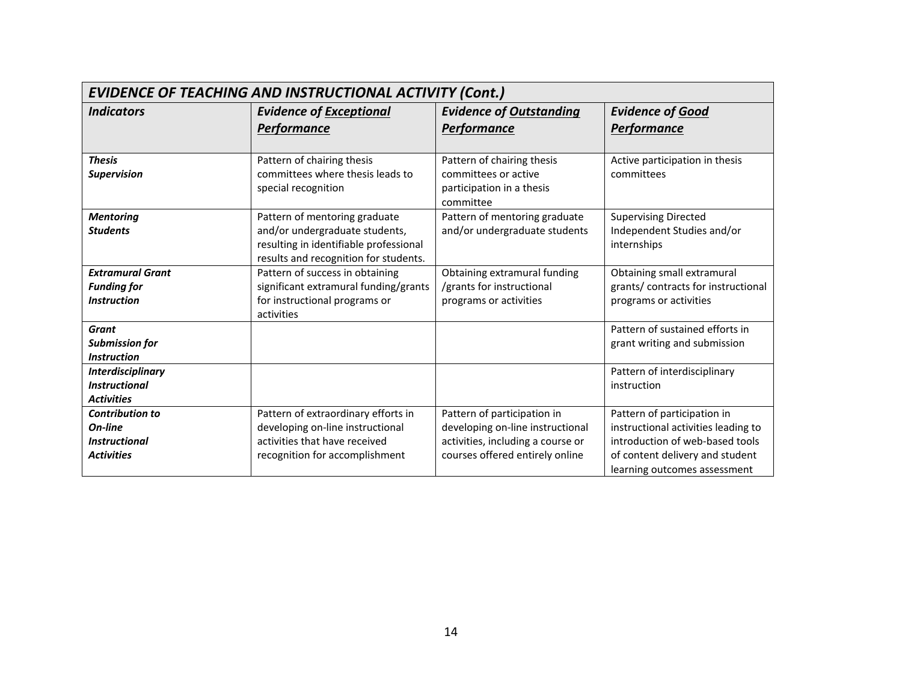| <b>EVIDENCE OF TEACHING AND INSTRUCTIONAL ACTIVITY (Cont.)</b> |                                        |                                        |                                                                 |
|----------------------------------------------------------------|----------------------------------------|----------------------------------------|-----------------------------------------------------------------|
| <b>Indicators</b>                                              | <b>Evidence of Exceptional</b>         | <b>Evidence of Outstanding</b>         | <b>Evidence of Good</b>                                         |
|                                                                | <b>Performance</b>                     | <b>Performance</b>                     | <b>Performance</b>                                              |
|                                                                |                                        |                                        |                                                                 |
| <b>Thesis</b>                                                  | Pattern of chairing thesis             | Pattern of chairing thesis             | Active participation in thesis                                  |
| <b>Supervision</b>                                             | committees where thesis leads to       | committees or active                   | committees                                                      |
|                                                                | special recognition                    | participation in a thesis<br>committee |                                                                 |
| <b>Mentoring</b>                                               | Pattern of mentoring graduate          | Pattern of mentoring graduate          | <b>Supervising Directed</b>                                     |
| <b>Students</b>                                                | and/or undergraduate students,         | and/or undergraduate students          | Independent Studies and/or                                      |
|                                                                | resulting in identifiable professional |                                        | internships                                                     |
|                                                                | results and recognition for students.  |                                        |                                                                 |
| <b>Extramural Grant</b>                                        | Pattern of success in obtaining        | Obtaining extramural funding           | Obtaining small extramural                                      |
| <b>Funding for</b>                                             | significant extramural funding/grants  | /grants for instructional              | grants/ contracts for instructional                             |
| <b>Instruction</b>                                             | for instructional programs or          | programs or activities                 | programs or activities                                          |
|                                                                | activities                             |                                        |                                                                 |
| <b>Grant</b><br><b>Submission for</b>                          |                                        |                                        | Pattern of sustained efforts in<br>grant writing and submission |
| <b>Instruction</b>                                             |                                        |                                        |                                                                 |
| <b>Interdisciplinary</b>                                       |                                        |                                        | Pattern of interdisciplinary                                    |
| <b>Instructional</b>                                           |                                        |                                        | instruction                                                     |
| <b>Activities</b>                                              |                                        |                                        |                                                                 |
| <b>Contribution to</b>                                         | Pattern of extraordinary efforts in    | Pattern of participation in            | Pattern of participation in                                     |
| On-line                                                        | developing on-line instructional       | developing on-line instructional       | instructional activities leading to                             |
| <b>Instructional</b>                                           | activities that have received          | activities, including a course or      | introduction of web-based tools                                 |
| <b>Activities</b>                                              | recognition for accomplishment         | courses offered entirely online        | of content delivery and student                                 |
|                                                                |                                        |                                        | learning outcomes assessment                                    |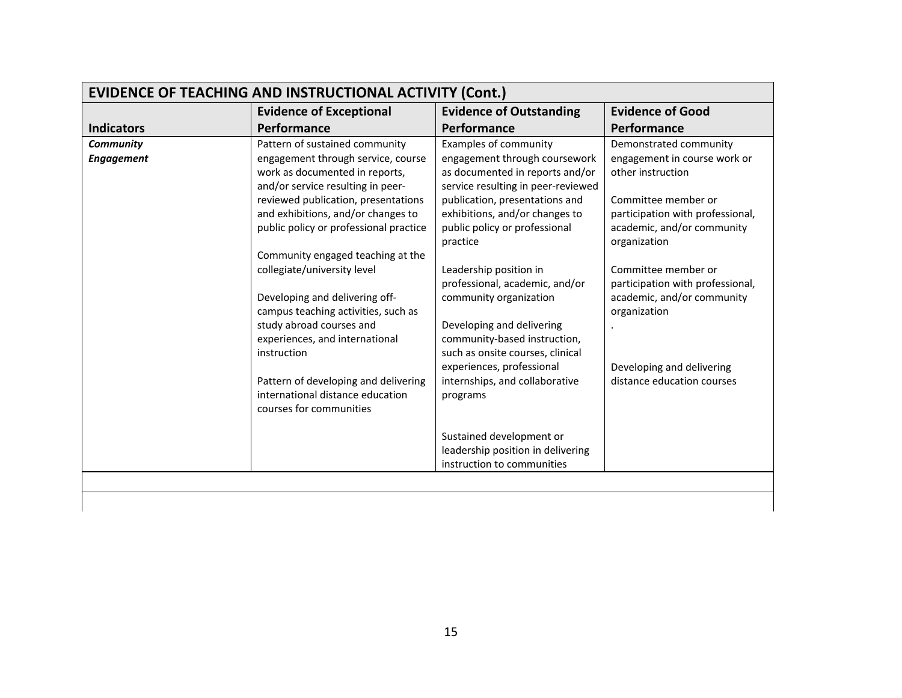| <b>EVIDENCE OF TEACHING AND INSTRUCTIONAL ACTIVITY (Cont.)</b><br><b>Evidence of Good</b><br><b>Evidence of Exceptional</b><br><b>Evidence of Outstanding</b> |                                                                      |                                                                  |                                                   |  |
|---------------------------------------------------------------------------------------------------------------------------------------------------------------|----------------------------------------------------------------------|------------------------------------------------------------------|---------------------------------------------------|--|
| <b>Indicators</b>                                                                                                                                             | Performance                                                          | Performance                                                      | <b>Performance</b>                                |  |
|                                                                                                                                                               |                                                                      |                                                                  |                                                   |  |
| <b>Community</b>                                                                                                                                              | Pattern of sustained community                                       | <b>Examples of community</b>                                     | Demonstrated community                            |  |
| <b>Engagement</b>                                                                                                                                             | engagement through service, course<br>work as documented in reports, | engagement through coursework<br>as documented in reports and/or | engagement in course work or<br>other instruction |  |
|                                                                                                                                                               | and/or service resulting in peer-                                    | service resulting in peer-reviewed                               |                                                   |  |
|                                                                                                                                                               | reviewed publication, presentations                                  | publication, presentations and                                   | Committee member or                               |  |
|                                                                                                                                                               | and exhibitions, and/or changes to                                   | exhibitions, and/or changes to                                   | participation with professional,                  |  |
|                                                                                                                                                               | public policy or professional practice                               | public policy or professional                                    | academic, and/or community                        |  |
|                                                                                                                                                               |                                                                      | practice                                                         | organization                                      |  |
|                                                                                                                                                               | Community engaged teaching at the                                    |                                                                  |                                                   |  |
|                                                                                                                                                               | collegiate/university level                                          | Leadership position in                                           | Committee member or                               |  |
|                                                                                                                                                               |                                                                      | professional, academic, and/or                                   | participation with professional,                  |  |
|                                                                                                                                                               | Developing and delivering off-                                       | community organization                                           | academic, and/or community                        |  |
|                                                                                                                                                               | campus teaching activities, such as                                  |                                                                  | organization                                      |  |
|                                                                                                                                                               | study abroad courses and                                             | Developing and delivering                                        |                                                   |  |
|                                                                                                                                                               | experiences, and international                                       | community-based instruction,                                     |                                                   |  |
|                                                                                                                                                               | instruction                                                          | such as onsite courses, clinical                                 |                                                   |  |
|                                                                                                                                                               |                                                                      | experiences, professional                                        | Developing and delivering                         |  |
|                                                                                                                                                               | Pattern of developing and delivering                                 | internships, and collaborative                                   | distance education courses                        |  |
|                                                                                                                                                               | international distance education                                     | programs                                                         |                                                   |  |
|                                                                                                                                                               | courses for communities                                              |                                                                  |                                                   |  |
|                                                                                                                                                               |                                                                      | Sustained development or                                         |                                                   |  |
|                                                                                                                                                               |                                                                      | leadership position in delivering                                |                                                   |  |
|                                                                                                                                                               |                                                                      | instruction to communities                                       |                                                   |  |
|                                                                                                                                                               |                                                                      |                                                                  |                                                   |  |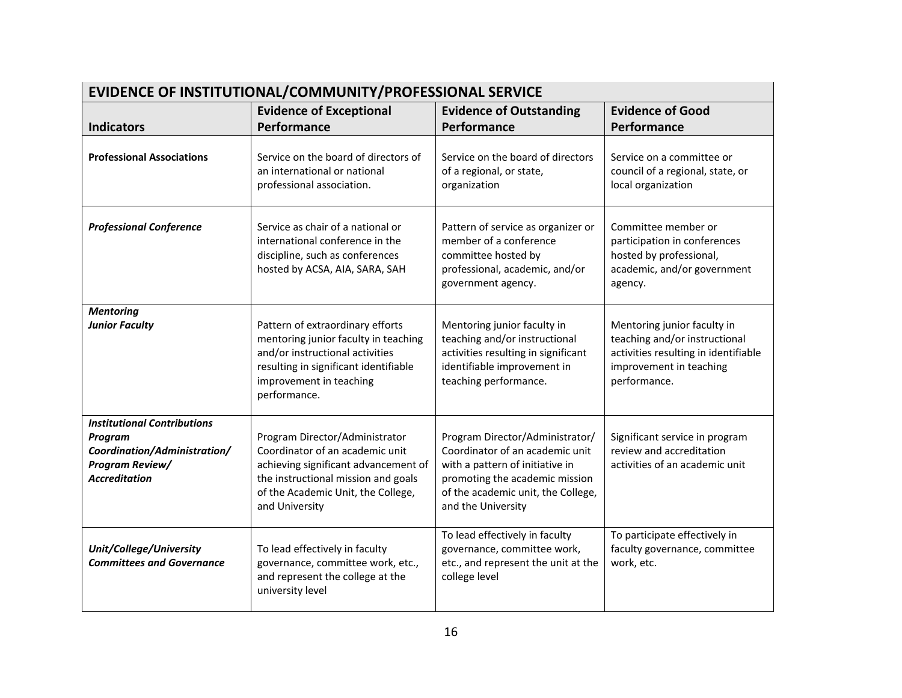| EVIDENCE OF INSTITUTIONAL/COMMUNITY/PROFESSIONAL SERVICE                                                                 |                                                                                                                                                                                                          |                                                                                                                                                                                                     |                                                                                                                                                 |
|--------------------------------------------------------------------------------------------------------------------------|----------------------------------------------------------------------------------------------------------------------------------------------------------------------------------------------------------|-----------------------------------------------------------------------------------------------------------------------------------------------------------------------------------------------------|-------------------------------------------------------------------------------------------------------------------------------------------------|
|                                                                                                                          | <b>Evidence of Exceptional</b>                                                                                                                                                                           | <b>Evidence of Outstanding</b>                                                                                                                                                                      | <b>Evidence of Good</b>                                                                                                                         |
| <b>Indicators</b>                                                                                                        | Performance                                                                                                                                                                                              | Performance                                                                                                                                                                                         | Performance                                                                                                                                     |
| <b>Professional Associations</b>                                                                                         | Service on the board of directors of<br>an international or national<br>professional association.                                                                                                        | Service on the board of directors<br>of a regional, or state,<br>organization                                                                                                                       | Service on a committee or<br>council of a regional, state, or<br>local organization                                                             |
| <b>Professional Conference</b>                                                                                           | Service as chair of a national or<br>international conference in the<br>discipline, such as conferences<br>hosted by ACSA, AIA, SARA, SAH                                                                | Pattern of service as organizer or<br>member of a conference<br>committee hosted by<br>professional, academic, and/or<br>government agency.                                                         | Committee member or<br>participation in conferences<br>hosted by professional,<br>academic, and/or government<br>agency.                        |
| <b>Mentoring</b><br><b>Junior Faculty</b>                                                                                | Pattern of extraordinary efforts<br>mentoring junior faculty in teaching<br>and/or instructional activities<br>resulting in significant identifiable<br>improvement in teaching<br>performance.          | Mentoring junior faculty in<br>teaching and/or instructional<br>activities resulting in significant<br>identifiable improvement in<br>teaching performance.                                         | Mentoring junior faculty in<br>teaching and/or instructional<br>activities resulting in identifiable<br>improvement in teaching<br>performance. |
| <b>Institutional Contributions</b><br>Program<br>Coordination/Administration/<br>Program Review/<br><b>Accreditation</b> | Program Director/Administrator<br>Coordinator of an academic unit<br>achieving significant advancement of<br>the instructional mission and goals<br>of the Academic Unit, the College,<br>and University | Program Director/Administrator/<br>Coordinator of an academic unit<br>with a pattern of initiative in<br>promoting the academic mission<br>of the academic unit, the College,<br>and the University | Significant service in program<br>review and accreditation<br>activities of an academic unit                                                    |
| Unit/College/University<br><b>Committees and Governance</b>                                                              | To lead effectively in faculty<br>governance, committee work, etc.,<br>and represent the college at the<br>university level                                                                              | To lead effectively in faculty<br>governance, committee work,<br>etc., and represent the unit at the<br>college level                                                                               | To participate effectively in<br>faculty governance, committee<br>work, etc.                                                                    |

- 1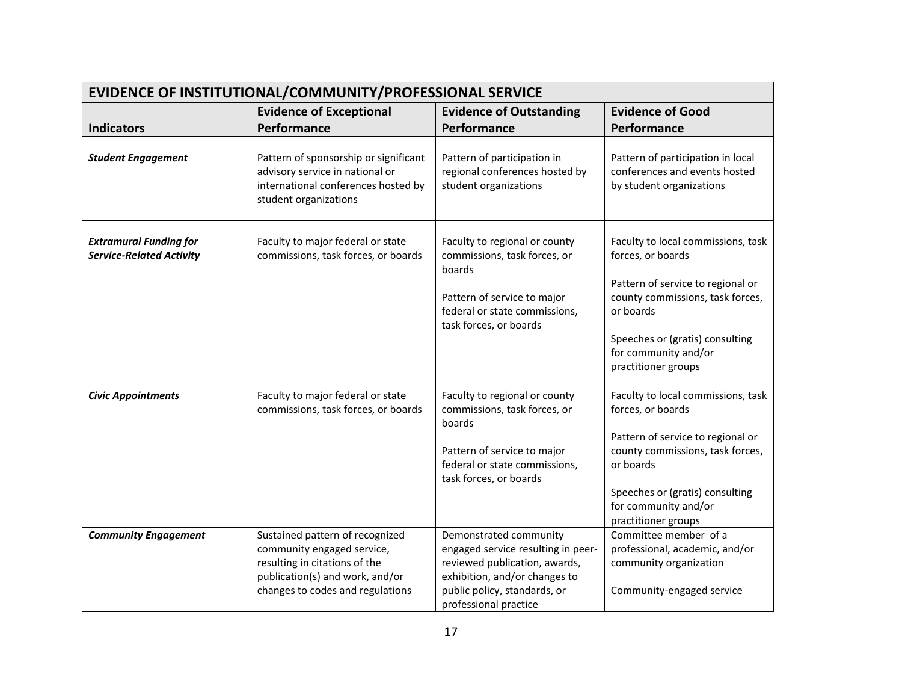| EVIDENCE OF INSTITUTIONAL/COMMUNITY/PROFESSIONAL SERVICE         |                                                                                                                                                                       |                                                                                                                                                                                         |                                                                                                                                                                                                                                 |
|------------------------------------------------------------------|-----------------------------------------------------------------------------------------------------------------------------------------------------------------------|-----------------------------------------------------------------------------------------------------------------------------------------------------------------------------------------|---------------------------------------------------------------------------------------------------------------------------------------------------------------------------------------------------------------------------------|
|                                                                  | <b>Evidence of Exceptional</b>                                                                                                                                        | <b>Evidence of Outstanding</b>                                                                                                                                                          | <b>Evidence of Good</b>                                                                                                                                                                                                         |
| <b>Indicators</b>                                                | Performance                                                                                                                                                           | Performance                                                                                                                                                                             | Performance                                                                                                                                                                                                                     |
| <b>Student Engagement</b>                                        | Pattern of sponsorship or significant<br>advisory service in national or<br>international conferences hosted by<br>student organizations                              | Pattern of participation in<br>regional conferences hosted by<br>student organizations                                                                                                  | Pattern of participation in local<br>conferences and events hosted<br>by student organizations                                                                                                                                  |
| <b>Extramural Funding for</b><br><b>Service-Related Activity</b> | Faculty to major federal or state<br>commissions, task forces, or boards                                                                                              | Faculty to regional or county<br>commissions, task forces, or<br>boards<br>Pattern of service to major<br>federal or state commissions,<br>task forces, or boards                       | Faculty to local commissions, task<br>forces, or boards<br>Pattern of service to regional or<br>county commissions, task forces,<br>or boards<br>Speeches or (gratis) consulting<br>for community and/or<br>practitioner groups |
| <b>Civic Appointments</b>                                        | Faculty to major federal or state<br>commissions, task forces, or boards                                                                                              | Faculty to regional or county<br>commissions, task forces, or<br>boards<br>Pattern of service to major<br>federal or state commissions,<br>task forces, or boards                       | Faculty to local commissions, task<br>forces, or boards<br>Pattern of service to regional or<br>county commissions, task forces,<br>or boards<br>Speeches or (gratis) consulting<br>for community and/or<br>practitioner groups |
| <b>Community Engagement</b>                                      | Sustained pattern of recognized<br>community engaged service,<br>resulting in citations of the<br>publication(s) and work, and/or<br>changes to codes and regulations | Demonstrated community<br>engaged service resulting in peer-<br>reviewed publication, awards,<br>exhibition, and/or changes to<br>public policy, standards, or<br>professional practice | Committee member of a<br>professional, academic, and/or<br>community organization<br>Community-engaged service                                                                                                                  |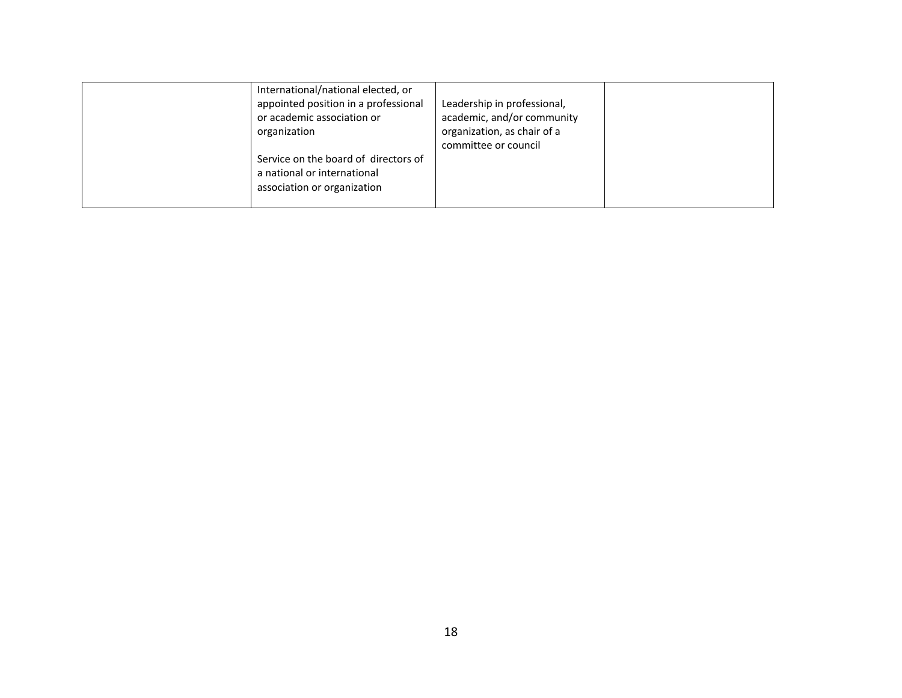| International/national elected, or<br>appointed position in a professional<br>or academic association or<br>organization<br>Service on the board of directors of<br>a national or international<br>association or organization | Leadership in professional,<br>academic, and/or community<br>organization, as chair of a<br>committee or council |  |
|--------------------------------------------------------------------------------------------------------------------------------------------------------------------------------------------------------------------------------|------------------------------------------------------------------------------------------------------------------|--|
|--------------------------------------------------------------------------------------------------------------------------------------------------------------------------------------------------------------------------------|------------------------------------------------------------------------------------------------------------------|--|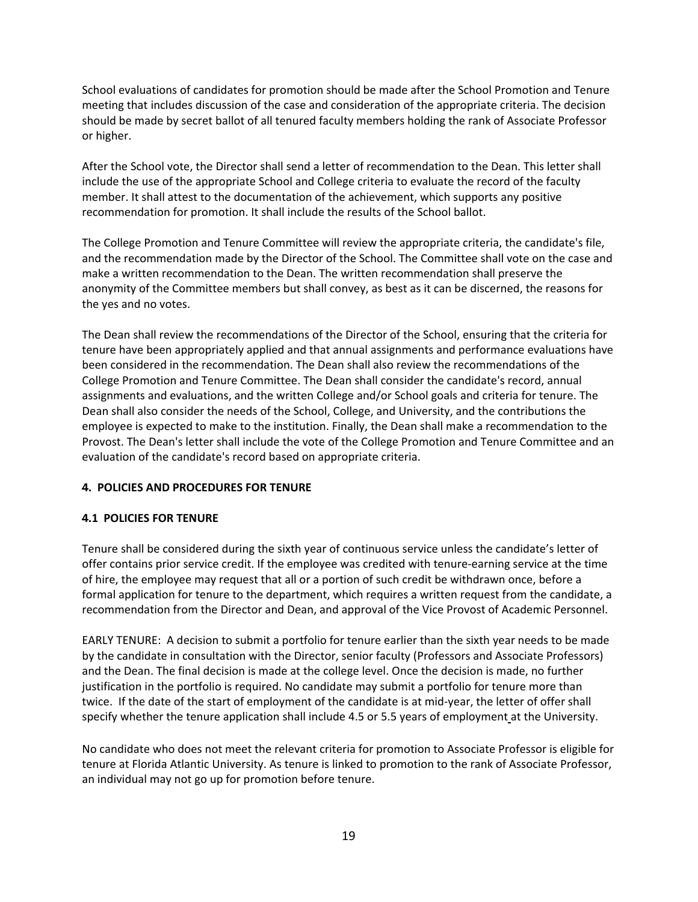School evaluations of candidates for promotion should be made after the School Promotion and Tenure meeting that includes discussion of the case and consideration of the appropriate criteria. The decision should be made by secret ballot of all tenured faculty members holding the rank of Associate Professor or higher.

After the School vote, the Director shall send a letter of recommendation to the Dean. This letter shall include the use of the appropriate School and College criteria to evaluate the record of the faculty member. It shall attest to the documentation of the achievement, which supports any positive recommendation for promotion. It shall include the results of the School ballot.

The College Promotion and Tenure Committee will review the appropriate criteria, the candidate's file, and the recommendation made by the Director of the School. The Committee shall vote on the case and make a written recommendation to the Dean. The written recommendation shall preserve the anonymity of the Committee members but shall convey, as best as it can be discerned, the reasons for the yes and no votes.

The Dean shall review the recommendations of the Director of the School, ensuring that the criteria for tenure have been appropriately applied and that annual assignments and performance evaluations have been considered in the recommendation. The Dean shall also review the recommendations of the College Promotion and Tenure Committee. The Dean shall consider the candidate's record, annual assignments and evaluations, and the written College and/or School goals and criteria for tenure. The Dean shall also consider the needs of the School, College, and University, and the contributions the employee is expected to make to the institution. Finally, the Dean shall make a recommendation to the Provost. The Dean's letter shall include the vote of the College Promotion and Tenure Committee and an evaluation of the candidate's record based on appropriate criteria.

# **4. POLICIES AND PROCEDURES FOR TENURE**

#### **4.1 POLICIES FOR TENURE**

Tenure shall be considered during the sixth year of continuous service unless the candidate's letter of offer contains prior service credit. If the employee was credited with tenure-earning service at the time of hire, the employee may request that all or a portion of such credit be withdrawn once, before a formal application for tenure to the department, which requires a written request from the candidate, a recommendation from the Director and Dean, and approval of the Vice Provost of Academic Personnel.

EARLY TENURE: A decision to submit a portfolio for tenure earlier than the sixth year needs to be made by the candidate in consultation with the Director, senior faculty (Professors and Associate Professors) and the Dean. The final decision is made at the college level. Once the decision is made, no further justification in the portfolio is required. No candidate may submit a portfolio for tenure more than twice. If the date of the start of employment of the candidate is at mid-year, the letter of offer shall specify whether the tenure application shall include 4.5 or 5.5 years of employment at the University.

No candidate who does not meet the relevant criteria for promotion to Associate Professor is eligible for tenure at Florida Atlantic University. As tenure is linked to promotion to the rank of Associate Professor, an individual may not go up for promotion before tenure.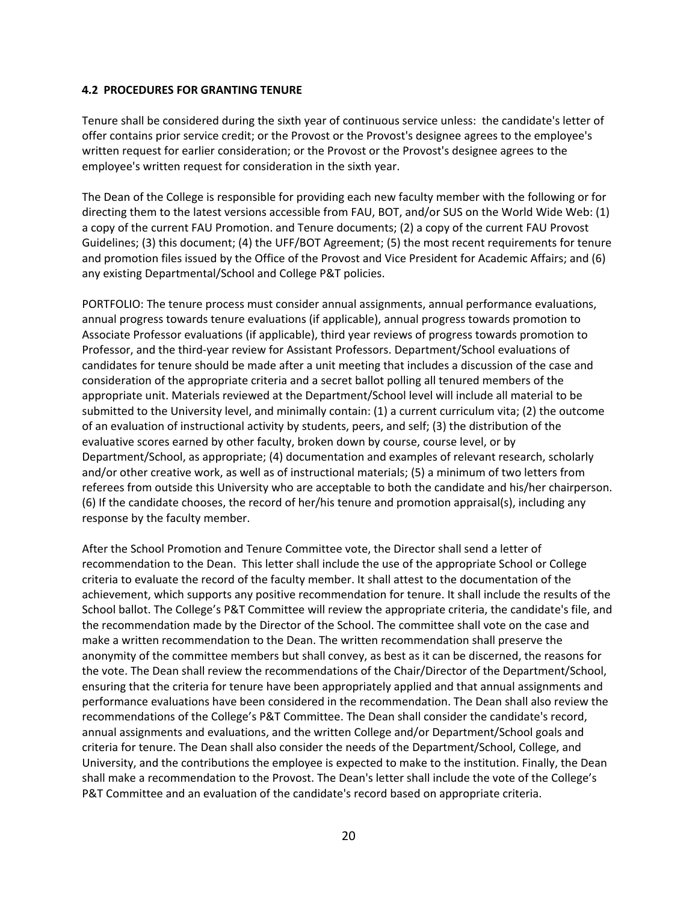#### **4.2 PROCEDURES FOR GRANTING TENURE**

Tenure shall be considered during the sixth year of continuous service unless: the candidate's letter of offer contains prior service credit; or the Provost or the Provost's designee agrees to the employee's written request for earlier consideration; or the Provost or the Provost's designee agrees to the employee's written request for consideration in the sixth year.

The Dean of the College is responsible for providing each new faculty member with the following or for directing them to the latest versions accessible from FAU, BOT, and/or SUS on the World Wide Web: (1) a copy of the current FAU Promotion. and Tenure documents; (2) a copy of the current FAU Provost Guidelines; (3) this document; (4) the UFF/BOT Agreement; (5) the most recent requirements for tenure and promotion files issued by the Office of the Provost and Vice President for Academic Affairs; and (6) any existing Departmental/School and College P&T policies.

PORTFOLIO: The tenure process must consider annual assignments, annual performance evaluations, annual progress towards tenure evaluations (if applicable), annual progress towards promotion to Associate Professor evaluations (if applicable), third year reviews of progress towards promotion to Professor, and the third-year review for Assistant Professors. Department/School evaluations of candidates for tenure should be made after a unit meeting that includes a discussion of the case and consideration of the appropriate criteria and a secret ballot polling all tenured members of the appropriate unit. Materials reviewed at the Department/School level will include all material to be submitted to the University level, and minimally contain: (1) a current curriculum vita; (2) the outcome of an evaluation of instructional activity by students, peers, and self; (3) the distribution of the evaluative scores earned by other faculty, broken down by course, course level, or by Department/School, as appropriate; (4) documentation and examples of relevant research, scholarly and/or other creative work, as well as of instructional materials; (5) a minimum of two letters from referees from outside this University who are acceptable to both the candidate and his/her chairperson. (6) If the candidate chooses, the record of her/his tenure and promotion appraisal(s), including any response by the faculty member.

After the School Promotion and Tenure Committee vote, the Director shall send a letter of recommendation to the Dean. This letter shall include the use of the appropriate School or College criteria to evaluate the record of the faculty member. It shall attest to the documentation of the achievement, which supports any positive recommendation for tenure. It shall include the results of the School ballot. The College's P&T Committee will review the appropriate criteria, the candidate's file, and the recommendation made by the Director of the School. The committee shall vote on the case and make a written recommendation to the Dean. The written recommendation shall preserve the anonymity of the committee members but shall convey, as best as it can be discerned, the reasons for the vote. The Dean shall review the recommendations of the Chair/Director of the Department/School, ensuring that the criteria for tenure have been appropriately applied and that annual assignments and performance evaluations have been considered in the recommendation. The Dean shall also review the recommendations of the College's P&T Committee. The Dean shall consider the candidate's record, annual assignments and evaluations, and the written College and/or Department/School goals and criteria for tenure. The Dean shall also consider the needs of the Department/School, College, and University, and the contributions the employee is expected to make to the institution. Finally, the Dean shall make a recommendation to the Provost. The Dean's letter shall include the vote of the College's P&T Committee and an evaluation of the candidate's record based on appropriate criteria.